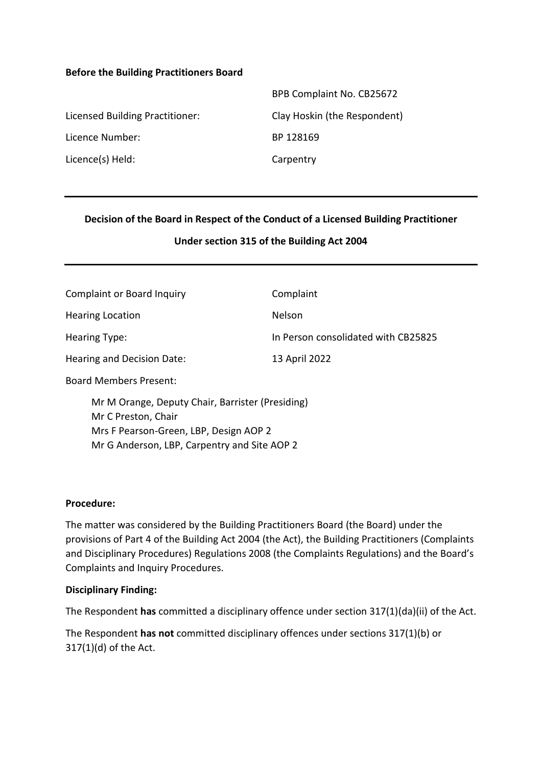#### **Before the Building Practitioners Board**

| BPB Complaint No. CB25672    |
|------------------------------|
| Clay Hoskin (the Respondent) |
| BP 128169                    |
| Carpentry                    |
|                              |

#### **Decision of the Board in Respect of the Conduct of a Licensed Building Practitioner**

#### **Under section 315 of the Building Act 2004**

| <b>Complaint or Board Inquiry</b>                                       | Complaint                           |
|-------------------------------------------------------------------------|-------------------------------------|
| <b>Hearing Location</b>                                                 | <b>Nelson</b>                       |
| Hearing Type:                                                           | In Person consolidated with CB25825 |
| Hearing and Decision Date:                                              | 13 April 2022                       |
| <b>Board Members Present:</b>                                           |                                     |
| Mr M Orange, Deputy Chair, Barrister (Presiding)<br>Mr C Preston, Chair |                                     |

Mrs F Pearson-Green, LBP, Design AOP 2 Mr G Anderson, LBP, Carpentry and Site AOP 2

#### **Procedure:**

The matter was considered by the Building Practitioners Board (the Board) under the provisions of Part 4 of the Building Act 2004 (the Act), the Building Practitioners (Complaints and Disciplinary Procedures) Regulations 2008 (the Complaints Regulations) and the Board's Complaints and Inquiry Procedures.

#### **Disciplinary Finding:**

The Respondent **has** committed a disciplinary offence under section 317(1)(da)(ii) of the Act.

The Respondent **has not** committed disciplinary offences under sections 317(1)(b) or 317(1)(d) of the Act.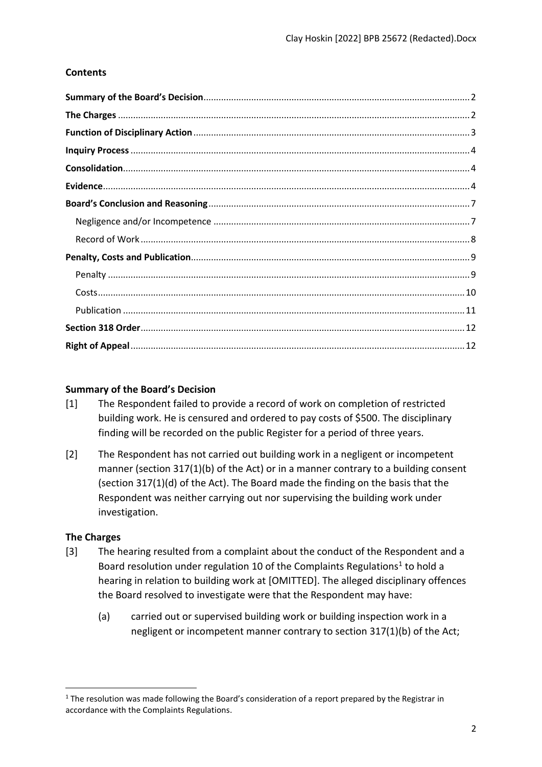## **Contents**

### <span id="page-1-0"></span>**Summary of the Board's Decision**

- [1] The Respondent failed to provide a record of work on completion of restricted building work. He is censured and ordered to pay costs of \$500. The disciplinary finding will be recorded on the public Register for a period of three years.
- [2] The Respondent has not carried out building work in a negligent or incompetent manner (section 317(1)(b) of the Act) or in a manner contrary to a building consent (section 317(1)(d) of the Act). The Board made the finding on the basis that the Respondent was neither carrying out nor supervising the building work under investigation.

## <span id="page-1-1"></span>**The Charges**

- [3] The hearing resulted from a complaint about the conduct of the Respondent and a Board resolution under regulation 10 of the Complaints Regulations<sup>1</sup> to hold a hearing in relation to building work at [OMITTED]. The alleged disciplinary offences the Board resolved to investigate were that the Respondent may have:
	- (a) carried out or supervised building work or building inspection work in a negligent or incompetent manner contrary to section 317(1)(b) of the Act;

<sup>&</sup>lt;sup>1</sup> The resolution was made following the Board's consideration of a report prepared by the Registrar in accordance with the Complaints Regulations.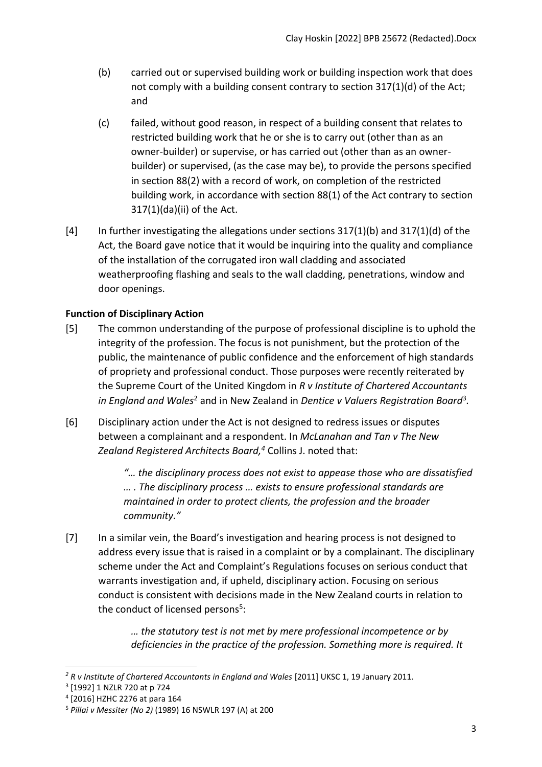- (b) carried out or supervised building work or building inspection work that does not comply with a building consent contrary to section 317(1)(d) of the Act; and
- (c) failed, without good reason, in respect of a building consent that relates to restricted building work that he or she is to carry out (other than as an owner-builder) or supervise, or has carried out (other than as an ownerbuilder) or supervised, (as the case may be), to provide the persons specified in section 88(2) with a record of work, on completion of the restricted building work, in accordance with section 88(1) of the Act contrary to section 317(1)(da)(ii) of the Act.
- [4] In further investigating the allegations under sections 317(1)(b) and 317(1)(d) of the Act, the Board gave notice that it would be inquiring into the quality and compliance of the installation of the corrugated iron wall cladding and associated weatherproofing flashing and seals to the wall cladding, penetrations, window and door openings.

# <span id="page-2-0"></span>**Function of Disciplinary Action**

- [5] The common understanding of the purpose of professional discipline is to uphold the integrity of the profession. The focus is not punishment, but the protection of the public, the maintenance of public confidence and the enforcement of high standards of propriety and professional conduct. Those purposes were recently reiterated by the Supreme Court of the United Kingdom in *R v Institute of Chartered Accountants*  in England and Wales<sup>2</sup> and in New Zealand in Dentice v Valuers Registration Board<sup>3</sup>.
- [6] Disciplinary action under the Act is not designed to redress issues or disputes between a complainant and a respondent. In *McLanahan and Tan v The New Zealand Registered Architects Board, <sup>4</sup>* Collins J. noted that:

*"… the disciplinary process does not exist to appease those who are dissatisfied … . The disciplinary process … exists to ensure professional standards are maintained in order to protect clients, the profession and the broader community."*

[7] In a similar vein, the Board's investigation and hearing process is not designed to address every issue that is raised in a complaint or by a complainant. The disciplinary scheme under the Act and Complaint's Regulations focuses on serious conduct that warrants investigation and, if upheld, disciplinary action. Focusing on serious conduct is consistent with decisions made in the New Zealand courts in relation to the conduct of licensed persons<sup>5</sup>:

> *… the statutory test is not met by mere professional incompetence or by deficiencies in the practice of the profession. Something more is required. It*

<sup>&</sup>lt;sup>2</sup> R v Institute of Chartered Accountants in England and Wales [2011] UKSC 1, 19 January 2011.

<sup>3</sup> [1992] 1 NZLR 720 at p 724

<sup>4</sup> [2016] HZHC 2276 at para 164

<sup>5</sup> *Pillai v Messiter (No 2)* (1989) 16 NSWLR 197 (A) at 200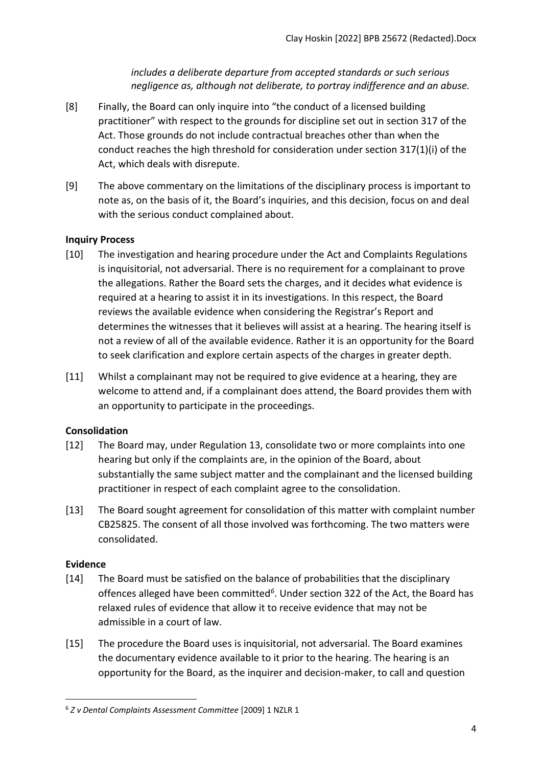*includes a deliberate departure from accepted standards or such serious negligence as, although not deliberate, to portray indifference and an abuse.*

- [8] Finally, the Board can only inquire into "the conduct of a licensed building practitioner" with respect to the grounds for discipline set out in section 317 of the Act. Those grounds do not include contractual breaches other than when the conduct reaches the high threshold for consideration under section 317(1)(i) of the Act, which deals with disrepute.
- [9] The above commentary on the limitations of the disciplinary process is important to note as, on the basis of it, the Board's inquiries, and this decision, focus on and deal with the serious conduct complained about.

## <span id="page-3-0"></span>**Inquiry Process**

- [10] The investigation and hearing procedure under the Act and Complaints Regulations is inquisitorial, not adversarial. There is no requirement for a complainant to prove the allegations. Rather the Board sets the charges, and it decides what evidence is required at a hearing to assist it in its investigations. In this respect, the Board reviews the available evidence when considering the Registrar's Report and determines the witnesses that it believes will assist at a hearing. The hearing itself is not a review of all of the available evidence. Rather it is an opportunity for the Board to seek clarification and explore certain aspects of the charges in greater depth.
- [11] Whilst a complainant may not be required to give evidence at a hearing, they are welcome to attend and, if a complainant does attend, the Board provides them with an opportunity to participate in the proceedings.

# <span id="page-3-1"></span>**Consolidation**

- [12] The Board may, under Regulation 13, consolidate two or more complaints into one hearing but only if the complaints are, in the opinion of the Board, about substantially the same subject matter and the complainant and the licensed building practitioner in respect of each complaint agree to the consolidation.
- [13] The Board sought agreement for consolidation of this matter with complaint number CB25825. The consent of all those involved was forthcoming. The two matters were consolidated.

## <span id="page-3-2"></span>**Evidence**

- [14] The Board must be satisfied on the balance of probabilities that the disciplinary offences alleged have been committed*<sup>6</sup>* . Under section 322 of the Act, the Board has relaxed rules of evidence that allow it to receive evidence that may not be admissible in a court of law.
- [15] The procedure the Board uses is inquisitorial, not adversarial. The Board examines the documentary evidence available to it prior to the hearing. The hearing is an opportunity for the Board, as the inquirer and decision-maker, to call and question

<sup>6</sup> *Z v Dental Complaints Assessment Committee* [2009] 1 NZLR 1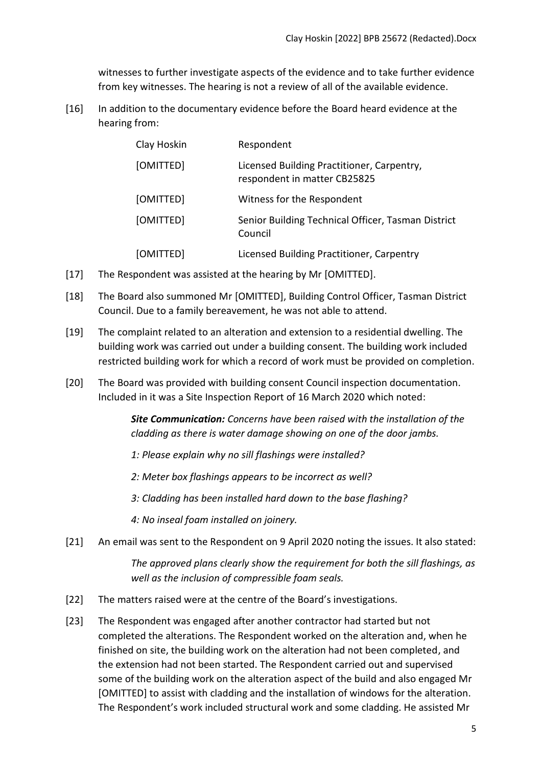witnesses to further investigate aspects of the evidence and to take further evidence from key witnesses. The hearing is not a review of all of the available evidence.

[16] In addition to the documentary evidence before the Board heard evidence at the hearing from:

| Clay Hoskin | Respondent                                                                 |
|-------------|----------------------------------------------------------------------------|
| [OMITTED]   | Licensed Building Practitioner, Carpentry,<br>respondent in matter CB25825 |
| [OMITTED]   | Witness for the Respondent                                                 |
| [OMITTED]   | Senior Building Technical Officer, Tasman District<br>Council              |
| [OMITTED]   | Licensed Building Practitioner, Carpentry                                  |

- [17] The Respondent was assisted at the hearing by Mr [OMITTED].
- [18] The Board also summoned Mr [OMITTED], Building Control Officer, Tasman District Council. Due to a family bereavement, he was not able to attend.
- [19] The complaint related to an alteration and extension to a residential dwelling. The building work was carried out under a building consent. The building work included restricted building work for which a record of work must be provided on completion.
- [20] The Board was provided with building consent Council inspection documentation. Included in it was a Site Inspection Report of 16 March 2020 which noted:

*Site Communication: Concerns have been raised with the installation of the cladding as there is water damage showing on one of the door jambs.*

- *1: Please explain why no sill flashings were installed?*
- *2: Meter box flashings appears to be incorrect as well?*
- *3: Cladding has been installed hard down to the base flashing?*
- *4: No inseal foam installed on joinery.*
- [21] An email was sent to the Respondent on 9 April 2020 noting the issues. It also stated:

*The approved plans clearly show the requirement for both the sill flashings, as well as the inclusion of compressible foam seals.* 

- [22] The matters raised were at the centre of the Board's investigations.
- [23] The Respondent was engaged after another contractor had started but not completed the alterations. The Respondent worked on the alteration and, when he finished on site, the building work on the alteration had not been completed, and the extension had not been started. The Respondent carried out and supervised some of the building work on the alteration aspect of the build and also engaged Mr [OMITTED] to assist with cladding and the installation of windows for the alteration. The Respondent's work included structural work and some cladding. He assisted Mr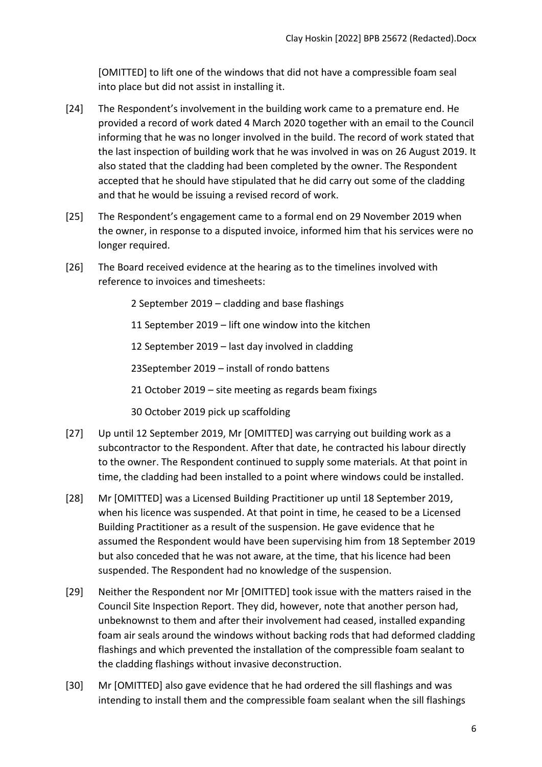[OMITTED] to lift one of the windows that did not have a compressible foam seal into place but did not assist in installing it.

- [24] The Respondent's involvement in the building work came to a premature end. He provided a record of work dated 4 March 2020 together with an email to the Council informing that he was no longer involved in the build. The record of work stated that the last inspection of building work that he was involved in was on 26 August 2019. It also stated that the cladding had been completed by the owner. The Respondent accepted that he should have stipulated that he did carry out some of the cladding and that he would be issuing a revised record of work.
- [25] The Respondent's engagement came to a formal end on 29 November 2019 when the owner, in response to a disputed invoice, informed him that his services were no longer required.
- [26] The Board received evidence at the hearing as to the timelines involved with reference to invoices and timesheets:

2 September 2019 – cladding and base flashings

11 September 2019 – lift one window into the kitchen

12 September 2019 – last day involved in cladding

23September 2019 – install of rondo battens

21 October 2019 – site meeting as regards beam fixings

30 October 2019 pick up scaffolding

- [27] Up until 12 September 2019, Mr [OMITTED] was carrying out building work as a subcontractor to the Respondent. After that date, he contracted his labour directly to the owner. The Respondent continued to supply some materials. At that point in time, the cladding had been installed to a point where windows could be installed.
- [28] Mr [OMITTED] was a Licensed Building Practitioner up until 18 September 2019, when his licence was suspended. At that point in time, he ceased to be a Licensed Building Practitioner as a result of the suspension. He gave evidence that he assumed the Respondent would have been supervising him from 18 September 2019 but also conceded that he was not aware, at the time, that his licence had been suspended. The Respondent had no knowledge of the suspension.
- [29] Neither the Respondent nor Mr [OMITTED] took issue with the matters raised in the Council Site Inspection Report. They did, however, note that another person had, unbeknownst to them and after their involvement had ceased, installed expanding foam air seals around the windows without backing rods that had deformed cladding flashings and which prevented the installation of the compressible foam sealant to the cladding flashings without invasive deconstruction.
- [30] Mr [OMITTED] also gave evidence that he had ordered the sill flashings and was intending to install them and the compressible foam sealant when the sill flashings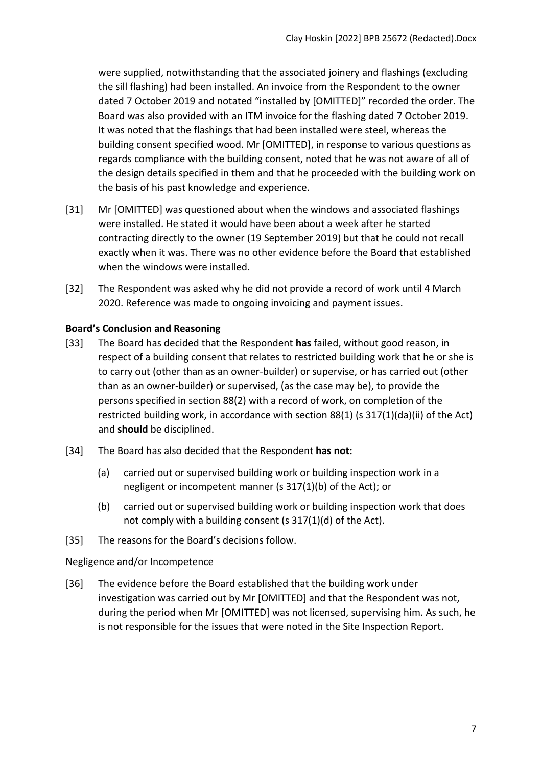were supplied, notwithstanding that the associated joinery and flashings (excluding the sill flashing) had been installed. An invoice from the Respondent to the owner dated 7 October 2019 and notated "installed by [OMITTED]" recorded the order. The Board was also provided with an ITM invoice for the flashing dated 7 October 2019. It was noted that the flashings that had been installed were steel, whereas the building consent specified wood. Mr [OMITTED], in response to various questions as regards compliance with the building consent, noted that he was not aware of all of the design details specified in them and that he proceeded with the building work on the basis of his past knowledge and experience.

- [31] Mr [OMITTED] was questioned about when the windows and associated flashings were installed. He stated it would have been about a week after he started contracting directly to the owner (19 September 2019) but that he could not recall exactly when it was. There was no other evidence before the Board that established when the windows were installed.
- [32] The Respondent was asked why he did not provide a record of work until 4 March 2020. Reference was made to ongoing invoicing and payment issues.

## <span id="page-6-0"></span>**Board's Conclusion and Reasoning**

- [33] The Board has decided that the Respondent **has** failed, without good reason, in respect of a building consent that relates to restricted building work that he or she is to carry out (other than as an owner-builder) or supervise, or has carried out (other than as an owner-builder) or supervised, (as the case may be), to provide the persons specified in section 88(2) with a record of work, on completion of the restricted building work, in accordance with section 88(1) (s 317(1)(da)(ii) of the Act) and **should** be disciplined.
- [34] The Board has also decided that the Respondent **has not:**
	- (a) carried out or supervised building work or building inspection work in a negligent or incompetent manner (s 317(1)(b) of the Act); or
	- (b) carried out or supervised building work or building inspection work that does not comply with a building consent (s 317(1)(d) of the Act).
- [35] The reasons for the Board's decisions follow.

## <span id="page-6-1"></span>Negligence and/or Incompetence

[36] The evidence before the Board established that the building work under investigation was carried out by Mr [OMITTED] and that the Respondent was not, during the period when Mr [OMITTED] was not licensed, supervising him. As such, he is not responsible for the issues that were noted in the Site Inspection Report.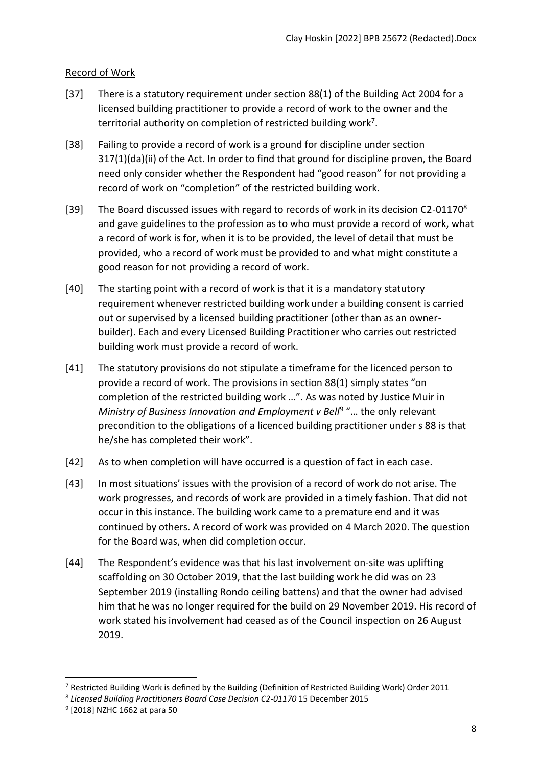## <span id="page-7-0"></span>Record of Work

- [37] There is a statutory requirement under section 88(1) of the Building Act 2004 for a licensed building practitioner to provide a record of work to the owner and the territorial authority on completion of restricted building work<sup>7</sup>.
- [38] Failing to provide a record of work is a ground for discipline under section 317(1)(da)(ii) of the Act. In order to find that ground for discipline proven, the Board need only consider whether the Respondent had "good reason" for not providing a record of work on "completion" of the restricted building work.
- [39] The Board discussed issues with regard to records of work in its decision C2-01170<sup>8</sup> and gave guidelines to the profession as to who must provide a record of work, what a record of work is for, when it is to be provided, the level of detail that must be provided, who a record of work must be provided to and what might constitute a good reason for not providing a record of work.
- [40] The starting point with a record of work is that it is a mandatory statutory requirement whenever restricted building work under a building consent is carried out or supervised by a licensed building practitioner (other than as an ownerbuilder). Each and every Licensed Building Practitioner who carries out restricted building work must provide a record of work.
- [41] The statutory provisions do not stipulate a timeframe for the licenced person to provide a record of work. The provisions in section 88(1) simply states "on completion of the restricted building work …". As was noted by Justice Muir in Ministry of Business Innovation and Employment v Bell<sup>9</sup> "... the only relevant precondition to the obligations of a licenced building practitioner under s 88 is that he/she has completed their work".
- [42] As to when completion will have occurred is a question of fact in each case.
- [43] In most situations' issues with the provision of a record of work do not arise. The work progresses, and records of work are provided in a timely fashion. That did not occur in this instance. The building work came to a premature end and it was continued by others. A record of work was provided on 4 March 2020. The question for the Board was, when did completion occur.
- [44] The Respondent's evidence was that his last involvement on-site was uplifting scaffolding on 30 October 2019, that the last building work he did was on 23 September 2019 (installing Rondo ceiling battens) and that the owner had advised him that he was no longer required for the build on 29 November 2019. His record of work stated his involvement had ceased as of the Council inspection on 26 August 2019.

<sup>7</sup> Restricted Building Work is defined by the Building (Definition of Restricted Building Work) Order 2011

<sup>&</sup>lt;sup>8</sup> Licensed Building Practitioners Board Case Decision C2-01170 15 December 2015

<sup>9</sup> [2018] NZHC 1662 at para 50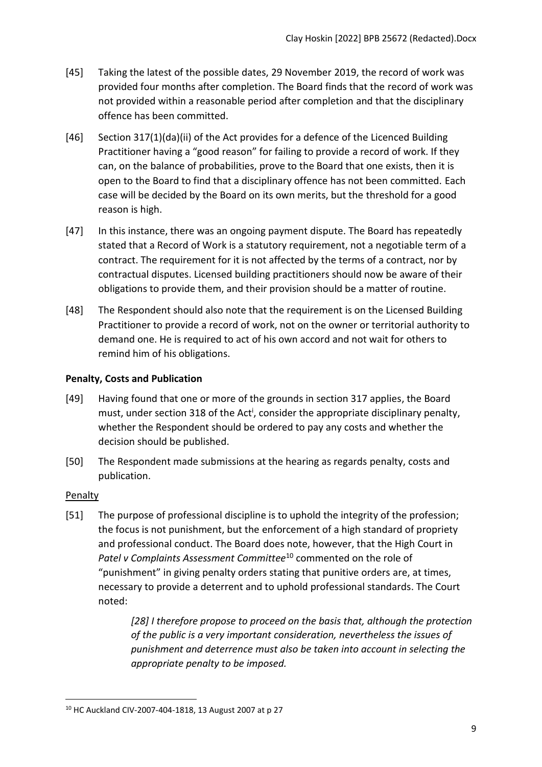- [45] Taking the latest of the possible dates, 29 November 2019, the record of work was provided four months after completion. The Board finds that the record of work was not provided within a reasonable period after completion and that the disciplinary offence has been committed.
- [46] Section 317(1)(da)(ii) of the Act provides for a defence of the Licenced Building Practitioner having a "good reason" for failing to provide a record of work. If they can, on the balance of probabilities, prove to the Board that one exists, then it is open to the Board to find that a disciplinary offence has not been committed. Each case will be decided by the Board on its own merits, but the threshold for a good reason is high.
- [47] In this instance, there was an ongoing payment dispute. The Board has repeatedly stated that a Record of Work is a statutory requirement, not a negotiable term of a contract. The requirement for it is not affected by the terms of a contract, nor by contractual disputes. Licensed building practitioners should now be aware of their obligations to provide them, and their provision should be a matter of routine.
- [48] The Respondent should also note that the requirement is on the Licensed Building Practitioner to provide a record of work, not on the owner or territorial authority to demand one. He is required to act of his own accord and not wait for others to remind him of his obligations.

### <span id="page-8-0"></span>**Penalty, Costs and Publication**

- [49] Having found that one or more of the grounds in section 317 applies, the Board must, under section 318 of the Act<sup>i</sup>, consider the appropriate disciplinary penalty, whether the Respondent should be ordered to pay any costs and whether the decision should be published.
- [50] The Respondent made submissions at the hearing as regards penalty, costs and publication.

#### <span id="page-8-1"></span>**Penalty**

[51] The purpose of professional discipline is to uphold the integrity of the profession; the focus is not punishment, but the enforcement of a high standard of propriety and professional conduct. The Board does note, however, that the High Court in *Patel v Complaints Assessment Committee*<sup>10</sup> commented on the role of "punishment" in giving penalty orders stating that punitive orders are, at times, necessary to provide a deterrent and to uphold professional standards. The Court noted:

> *[28] I therefore propose to proceed on the basis that, although the protection of the public is a very important consideration, nevertheless the issues of punishment and deterrence must also be taken into account in selecting the appropriate penalty to be imposed.*

<sup>10</sup> HC Auckland CIV-2007-404-1818, 13 August 2007 at p 27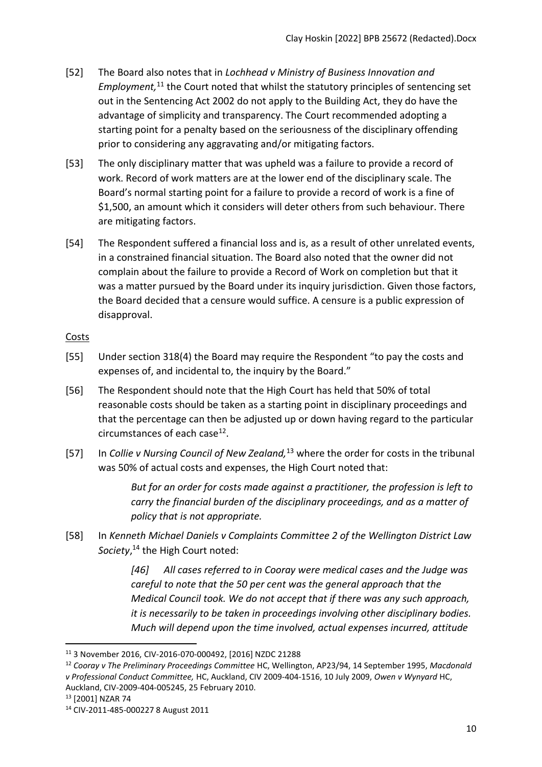- [52] The Board also notes that in *Lochhead v Ministry of Business Innovation and*  Employment,<sup>11</sup> the Court noted that whilst the statutory principles of sentencing set out in the Sentencing Act 2002 do not apply to the Building Act, they do have the advantage of simplicity and transparency. The Court recommended adopting a starting point for a penalty based on the seriousness of the disciplinary offending prior to considering any aggravating and/or mitigating factors.
- [53] The only disciplinary matter that was upheld was a failure to provide a record of work. Record of work matters are at the lower end of the disciplinary scale. The Board's normal starting point for a failure to provide a record of work is a fine of \$1,500, an amount which it considers will deter others from such behaviour. There are mitigating factors.
- [54] The Respondent suffered a financial loss and is, as a result of other unrelated events, in a constrained financial situation. The Board also noted that the owner did not complain about the failure to provide a Record of Work on completion but that it was a matter pursued by the Board under its inquiry jurisdiction. Given those factors, the Board decided that a censure would suffice. A censure is a public expression of disapproval.

## <span id="page-9-0"></span>Costs

- [55] Under section 318(4) the Board may require the Respondent "to pay the costs and expenses of, and incidental to, the inquiry by the Board."
- [56] The Respondent should note that the High Court has held that 50% of total reasonable costs should be taken as a starting point in disciplinary proceedings and that the percentage can then be adjusted up or down having regard to the particular circumstances of each case<sup>12</sup>.
- [57] In *Collie v Nursing Council of New Zealand,*<sup>13</sup> where the order for costs in the tribunal was 50% of actual costs and expenses, the High Court noted that:

*But for an order for costs made against a practitioner, the profession is left to carry the financial burden of the disciplinary proceedings, and as a matter of policy that is not appropriate.*

[58] In *Kenneth Michael Daniels v Complaints Committee 2 of the Wellington District Law Society*, <sup>14</sup> the High Court noted:

> *[46] All cases referred to in Cooray were medical cases and the Judge was careful to note that the 50 per cent was the general approach that the Medical Council took. We do not accept that if there was any such approach, it is necessarily to be taken in proceedings involving other disciplinary bodies. Much will depend upon the time involved, actual expenses incurred, attitude*

<sup>13</sup> [2001] NZAR 74

<sup>11</sup> 3 November 2016, CIV-2016-070-000492, [2016] NZDC 21288

<sup>12</sup> *Cooray v The Preliminary Proceedings Committee* HC, Wellington, AP23/94, 14 September 1995, *Macdonald v Professional Conduct Committee,* HC, Auckland, CIV 2009-404-1516, 10 July 2009, *Owen v Wynyard* HC, Auckland, CIV-2009-404-005245, 25 February 2010.

<sup>14</sup> CIV-2011-485-000227 8 August 2011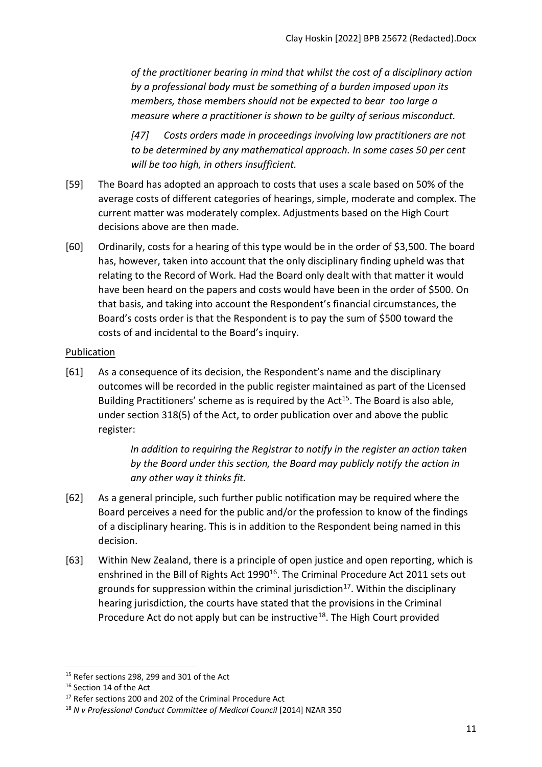*of the practitioner bearing in mind that whilst the cost of a disciplinary action by a professional body must be something of a burden imposed upon its members, those members should not be expected to bear too large a measure where a practitioner is shown to be guilty of serious misconduct.* 

*[47] Costs orders made in proceedings involving law practitioners are not to be determined by any mathematical approach. In some cases 50 per cent will be too high, in others insufficient.*

- [59] The Board has adopted an approach to costs that uses a scale based on 50% of the average costs of different categories of hearings, simple, moderate and complex. The current matter was moderately complex. Adjustments based on the High Court decisions above are then made.
- [60] Ordinarily, costs for a hearing of this type would be in the order of \$3,500. The board has, however, taken into account that the only disciplinary finding upheld was that relating to the Record of Work. Had the Board only dealt with that matter it would have been heard on the papers and costs would have been in the order of \$500. On that basis, and taking into account the Respondent's financial circumstances, the Board's costs order is that the Respondent is to pay the sum of \$500 toward the costs of and incidental to the Board's inquiry.

#### <span id="page-10-0"></span>Publication

[61] As a consequence of its decision, the Respondent's name and the disciplinary outcomes will be recorded in the public register maintained as part of the Licensed Building Practitioners' scheme as is required by the Act<sup>15</sup>. The Board is also able, under section 318(5) of the Act, to order publication over and above the public register:

> *In addition to requiring the Registrar to notify in the register an action taken by the Board under this section, the Board may publicly notify the action in any other way it thinks fit.*

- [62] As a general principle, such further public notification may be required where the Board perceives a need for the public and/or the profession to know of the findings of a disciplinary hearing. This is in addition to the Respondent being named in this decision.
- [63] Within New Zealand, there is a principle of open justice and open reporting, which is enshrined in the Bill of Rights Act 1990<sup>16</sup>. The Criminal Procedure Act 2011 sets out grounds for suppression within the criminal jurisdiction<sup>17</sup>. Within the disciplinary hearing jurisdiction, the courts have stated that the provisions in the Criminal Procedure Act do not apply but can be instructive<sup>18</sup>. The High Court provided

<sup>&</sup>lt;sup>15</sup> Refer sections 298, 299 and 301 of the Act

<sup>16</sup> Section 14 of the Act

<sup>&</sup>lt;sup>17</sup> Refer sections 200 and 202 of the Criminal Procedure Act

<sup>18</sup> *N v Professional Conduct Committee of Medical Council* [2014] NZAR 350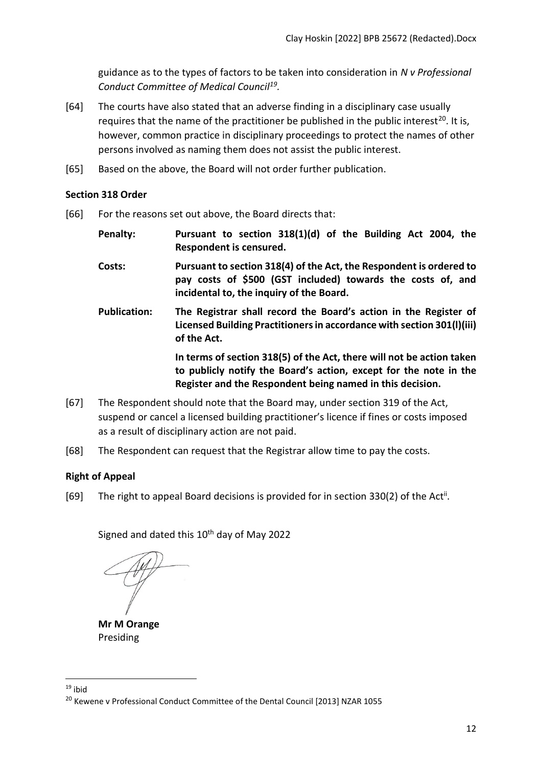guidance as to the types of factors to be taken into consideration in *N v Professional Conduct Committee of Medical Council<sup>19</sup> .*

- [64] The courts have also stated that an adverse finding in a disciplinary case usually requires that the name of the practitioner be published in the public interest<sup>20</sup>. It is, however, common practice in disciplinary proceedings to protect the names of other persons involved as naming them does not assist the public interest.
- [65] Based on the above, the Board will not order further publication.

#### <span id="page-11-0"></span>**Section 318 Order**

- [66] For the reasons set out above, the Board directs that:
	- **Penalty: Pursuant to section 318(1)(d) of the Building Act 2004, the Respondent is censured.**
	- **Costs: Pursuant to section 318(4) of the Act, the Respondent is ordered to pay costs of \$500 (GST included) towards the costs of, and incidental to, the inquiry of the Board.**
	- **Publication: The Registrar shall record the Board's action in the Register of Licensed Building Practitioners in accordance with section 301(l)(iii) of the Act.**

**In terms of section 318(5) of the Act, there will not be action taken to publicly notify the Board's action, except for the note in the Register and the Respondent being named in this decision.**

- [67] The Respondent should note that the Board may, under section 319 of the Act, suspend or cancel a licensed building practitioner's licence if fines or costs imposed as a result of disciplinary action are not paid.
- [68] The Respondent can request that the Registrar allow time to pay the costs.

## <span id="page-11-1"></span>**Right of Appeal**

[69] The right to appeal Board decisions is provided for in section 330(2) of the Act<sup>ii</sup>.

Signed and dated this 10<sup>th</sup> day of May 2022

**Mr M Orange**  Presiding

 $19$  ihid

<sup>&</sup>lt;sup>20</sup> Kewene v Professional Conduct Committee of the Dental Council [2013] NZAR 1055